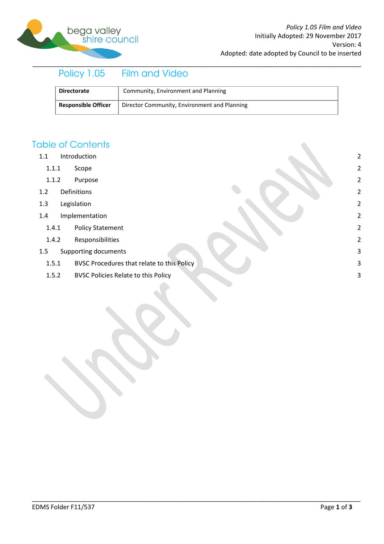

# \_\_\_\_\_\_\_\_\_\_\_\_\_\_\_\_\_\_\_\_\_\_\_\_\_\_\_\_\_\_\_\_\_\_\_\_\_\_\_\_\_\_\_\_\_\_\_\_\_\_\_\_\_\_\_\_\_\_\_\_\_\_\_\_\_\_\_\_\_\_\_\_\_\_\_\_\_\_\_\_\_\_\_\_\_\_\_\_\_\_\_\_\_

| <b>Directorate</b>         | Community, Environment and Planning          |
|----------------------------|----------------------------------------------|
| <b>Responsible Officer</b> | Director Community, Environment and Planning |

\_\_\_\_\_\_\_\_\_\_\_\_\_\_\_\_\_\_\_\_\_\_\_\_\_\_\_\_\_\_\_\_\_\_\_\_\_\_\_\_\_\_\_\_\_\_\_\_\_\_\_\_\_\_\_\_\_\_\_\_\_\_\_\_\_\_\_\_\_\_\_\_\_\_\_\_\_\_\_\_\_\_\_\_\_\_\_\_\_\_\_\_\_

## **Table of Contents**

- 1.1 [Introduction](#page-1-0) 2
	- 1.1.1 [Scope](#page-1-1) 2
	- 1.1.2 [Purpose](#page-1-2) 2
- 1.2 [Definitions](#page-1-3) 2
- 1.3 [Legislation](#page-1-4) 2
- 1.4 [Implementation](#page-1-5) 2
	- 1.4.1 [Policy Statement](#page-1-6) 2
	- 1.4.2 [Responsibilities](#page-1-7) 2
- 1.5 [Supporting documents](#page-2-0) 3
	- 1.5.1 [BVSC Procedures that relate to this Policy](#page-2-1) 3
	- 1.5.2 [BVSC Policies Relate to this Policy](#page-2-2) 3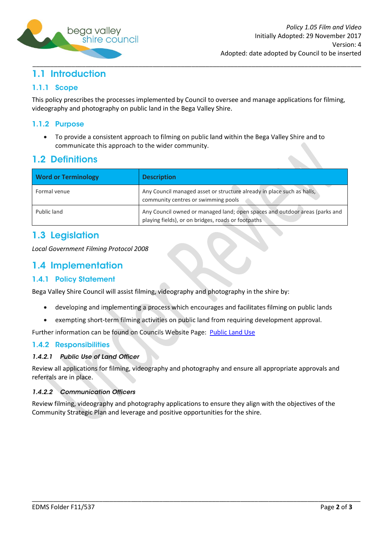

### <span id="page-1-0"></span>\_\_\_\_\_\_\_\_\_\_\_\_\_\_\_\_\_\_\_\_\_\_\_\_\_\_\_\_\_\_\_\_\_\_\_\_\_\_\_\_\_\_\_\_\_\_\_\_\_\_\_\_\_\_\_\_\_\_\_\_\_\_\_\_\_\_\_\_\_\_\_\_\_\_\_\_\_\_\_\_\_\_\_\_\_\_\_\_\_\_\_\_\_ 1.1 Introduction

## <span id="page-1-1"></span>1.1.1 Scope

This policy prescribes the processes implemented by Council to oversee and manage applications for filming, videography and photography on public land in the Bega Valley Shire.

## <span id="page-1-2"></span>1.1.2 Purpose

To provide a consistent approach to filming on public land within the Bega Valley Shire and to  $\bullet$ communicate this approach to the wider community.

# <span id="page-1-3"></span>**1.2 Definitions**

| <b>Word or Terminology</b> | <b>Description</b>                                                                                                                |
|----------------------------|-----------------------------------------------------------------------------------------------------------------------------------|
| Formal venue               | Any Council managed asset or structure already in place such as halls,<br>community centres or swimming pools                     |
| Public land                | Any Council owned or managed land; open spaces and outdoor areas (parks and<br>playing fields), or on bridges, roads or footpaths |

# <span id="page-1-4"></span>1.3 Legislation

*Local Government Filming Protocol 2008*

# <span id="page-1-5"></span>1.4 Implementation

## <span id="page-1-6"></span>**1.4.1 Policy Statement**

Bega Valley Shire Council will assist filming, videography and photography in the shire by:

- developing and implementing a process which encourages and facilitates filming on public lands  $\bullet$
- exempting short-term filming activities on public land from requiring development approval.  $\bullet$

Further information can be found on Councils Website Page: Public Land Use

### <span id="page-1-7"></span>**1.4.2 Responsibilities**

#### 1.4.2.1 Public Use of Land Officer

Review all applications for filming, videography and photography and ensure all appropriate approvals and referrals are in place.

#### 1.4.2.2 Communication Officers

Review filming, videography and photography applications to ensure they align with the objectives of the Community Strategic Plan and leverage and positive opportunities for the shire.

\_\_\_\_\_\_\_\_\_\_\_\_\_\_\_\_\_\_\_\_\_\_\_\_\_\_\_\_\_\_\_\_\_\_\_\_\_\_\_\_\_\_\_\_\_\_\_\_\_\_\_\_\_\_\_\_\_\_\_\_\_\_\_\_\_\_\_\_\_\_\_\_\_\_\_\_\_\_\_\_\_\_\_\_\_\_\_\_\_\_\_\_\_